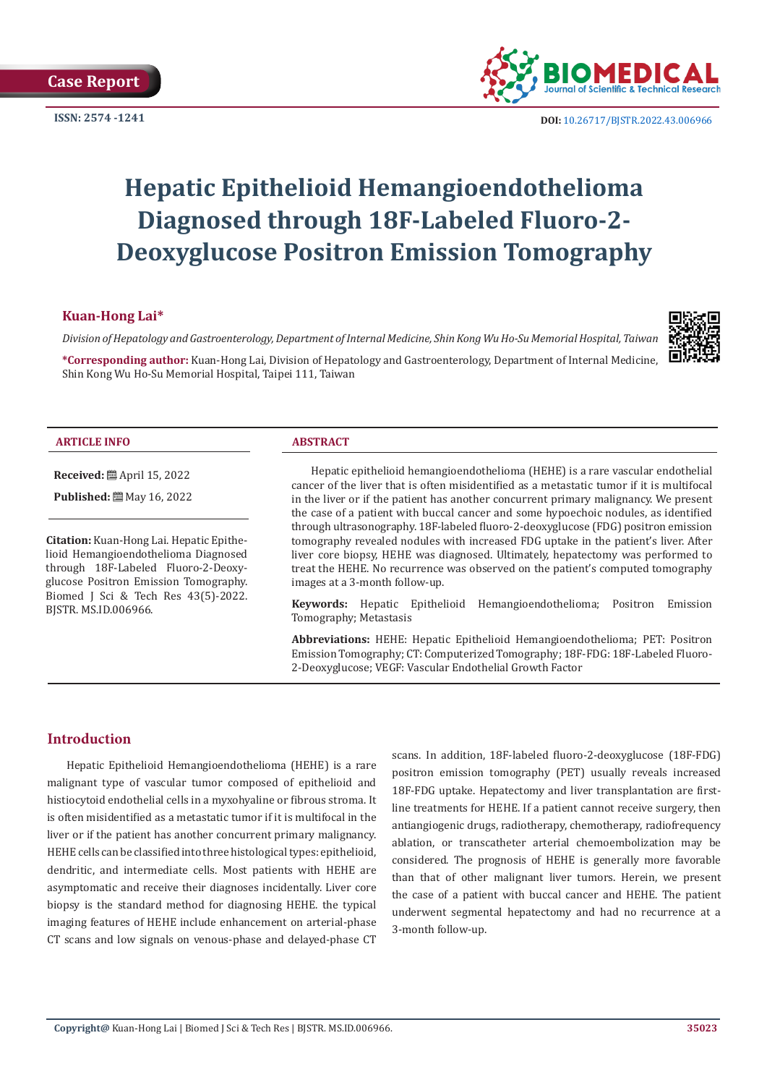

**ISSN:** 2574 -1241 **DOI:** [10.26717/BJSTR.2022.43.006966](https://dx.doi.org/10.26717/BJSTR.2022.43.006966)

# **Hepatic Epithelioid Hemangioendothelioma Diagnosed through 18F-Labeled Fluoro-2- Deoxyglucose Positron Emission Tomography**

# **Kuan-Hong Lai\***

*Division of Hepatology and Gastroenterology, Department of Internal Medicine, Shin Kong Wu Ho-Su Memorial Hospital, Taiwan*

**\*Corresponding author:** Kuan-Hong Lai, Division of Hepatology and Gastroenterology, Department of Internal Medicine, Shin Kong Wu Ho-Su Memorial Hospital, Taipei 111, Taiwan



#### **ARTICLE INFO ABSTRACT**

**Received:** April 15, 2022

**Published:** May 16, 2022

**Citation:** Kuan-Hong Lai. Hepatic Epithelioid Hemangioendothelioma Diagnosed through 18F-Labeled Fluoro-2-Deoxyglucose Positron Emission Tomography. Biomed J Sci & Tech Res 43(5)-2022. BJSTR. MS.ID.006966.

Hepatic epithelioid hemangioendothelioma (HEHE) is a rare vascular endothelial cancer of the liver that is often misidentified as a metastatic tumor if it is multifocal in the liver or if the patient has another concurrent primary malignancy. We present the case of a patient with buccal cancer and some hypoechoic nodules, as identified through ultrasonography. 18F-labeled fluoro-2-deoxyglucose (FDG) positron emission tomography revealed nodules with increased FDG uptake in the patient's liver. After liver core biopsy, HEHE was diagnosed. Ultimately, hepatectomy was performed to treat the HEHE. No recurrence was observed on the patient's computed tomography images at a 3-month follow-up.

**Keywords:** Hepatic Epithelioid Hemangioendothelioma; Positron Emission Tomography; Metastasis

**Abbreviations:** HEHE: Hepatic Epithelioid Hemangioendothelioma; PET: Positron Emission Tomography; CT: Computerized Tomography; 18F-FDG: 18F-Labeled Fluoro-2-Deoxyglucose; VEGF: Vascular Endothelial Growth Factor

## **Introduction**

Hepatic Epithelioid Hemangioendothelioma (HEHE) is a rare malignant type of vascular tumor composed of epithelioid and histiocytoid endothelial cells in a myxohyaline or fibrous stroma. It is often misidentified as a metastatic tumor if it is multifocal in the liver or if the patient has another concurrent primary malignancy. HEHE cells can be classified into three histological types: epithelioid, dendritic, and intermediate cells. Most patients with HEHE are asymptomatic and receive their diagnoses incidentally. Liver core biopsy is the standard method for diagnosing HEHE. the typical imaging features of HEHE include enhancement on arterial-phase CT scans and low signals on venous-phase and delayed-phase CT

scans. In addition, 18F-labeled fluoro-2-deoxyglucose (18F-FDG) positron emission tomography (PET) usually reveals increased 18F-FDG uptake. Hepatectomy and liver transplantation are firstline treatments for HEHE. If a patient cannot receive surgery, then antiangiogenic drugs, radiotherapy, chemotherapy, radiofrequency ablation, or transcatheter arterial chemoembolization may be considered. The prognosis of HEHE is generally more favorable than that of other malignant liver tumors. Herein, we present the case of a patient with buccal cancer and HEHE. The patient underwent segmental hepatectomy and had no recurrence at a 3-month follow-up.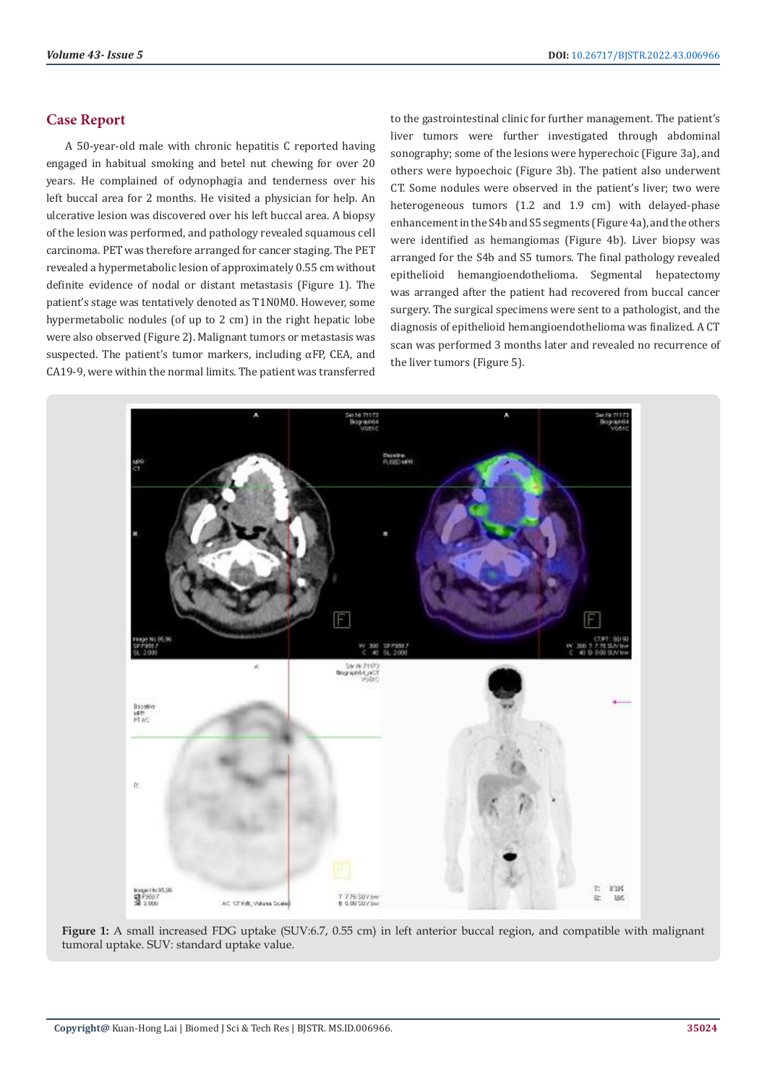## **Case Report**

A 50-year-old male with chronic hepatitis C reported having engaged in habitual smoking and betel nut chewing for over 20 years. He complained of odynophagia and tenderness over his left buccal area for 2 months. He visited a physician for help. An ulcerative lesion was discovered over his left buccal area. A biopsy of the lesion was performed, and pathology revealed squamous cell carcinoma. PET was therefore arranged for cancer staging. The PET revealed a hypermetabolic lesion of approximately 0.55 cm without definite evidence of nodal or distant metastasis (Figure 1). The patient's stage was tentatively denoted as T1N0M0. However, some hypermetabolic nodules (of up to 2 cm) in the right hepatic lobe were also observed (Figure 2). Malignant tumors or metastasis was suspected. The patient's tumor markers, including αFP, CEA, and CA19-9, were within the normal limits. The patient was transferred

to the gastrointestinal clinic for further management. The patient's liver tumors were further investigated through abdominal sonography; some of the lesions were hyperechoic (Figure 3a), and others were hypoechoic (Figure 3b). The patient also underwent CT. Some nodules were observed in the patient's liver; two were heterogeneous tumors (1.2 and 1.9 cm) with delayed-phase enhancement in the S4b and S5 segments (Figure 4a), and the others were identified as hemangiomas (Figure 4b). Liver biopsy was arranged for the S4b and S5 tumors. The final pathology revealed epithelioid hemangioendothelioma. Segmental hepatectomy was arranged after the patient had recovered from buccal cancer surgery. The surgical specimens were sent to a pathologist, and the diagnosis of epithelioid hemangioendothelioma was finalized. A CT scan was performed 3 months later and revealed no recurrence of the liver tumors (Figure 5).



**Figure 1:** A small increased FDG uptake (SUV:6.7, 0.55 cm) in left anterior buccal region, and compatible with malignant tumoral uptake. SUV: standard uptake value.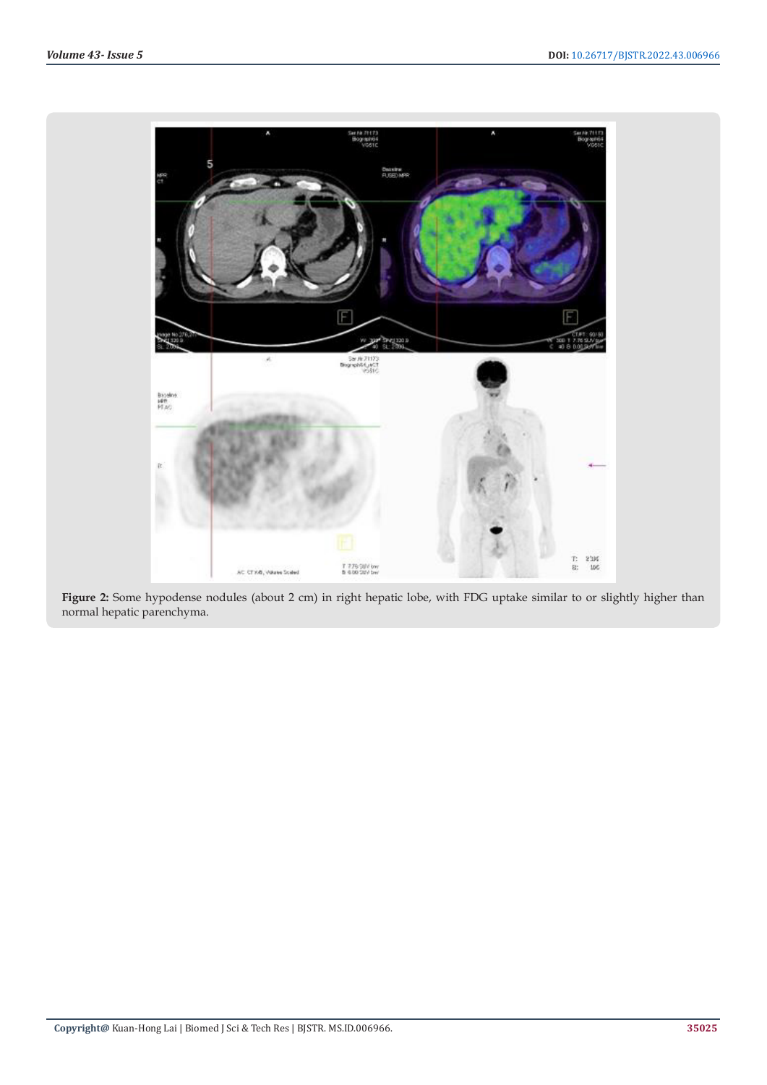

**Figure 2:** Some hypodense nodules (about 2 cm) in right hepatic lobe, with FDG uptake similar to or slightly higher than normal hepatic parenchyma.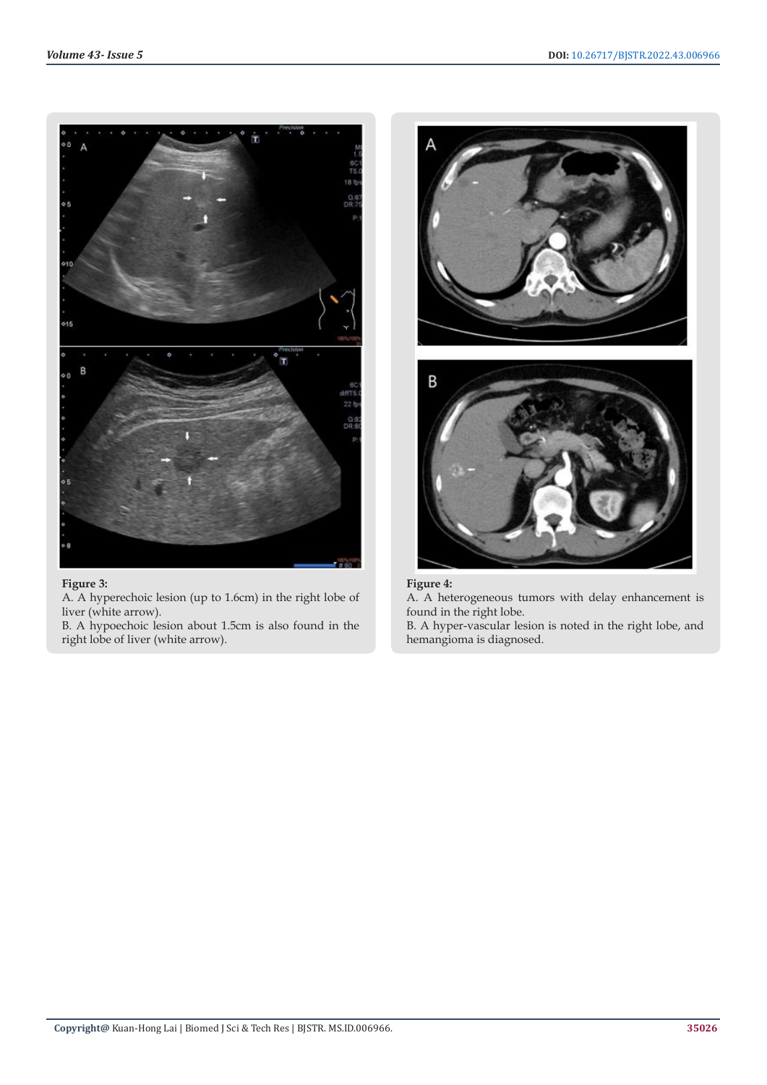

# **Figure 3:**

A. A hyperechoic lesion (up to 1.6cm) in the right lobe of liver (white arrow).

B. A hypoechoic lesion about 1.5cm is also found in the right lobe of liver (white arrow).



# **Figure 4:**

A. A heterogeneous tumors with delay enhancement is found in the right lobe.

B. A hyper-vascular lesion is noted in the right lobe, and hemangioma is diagnosed.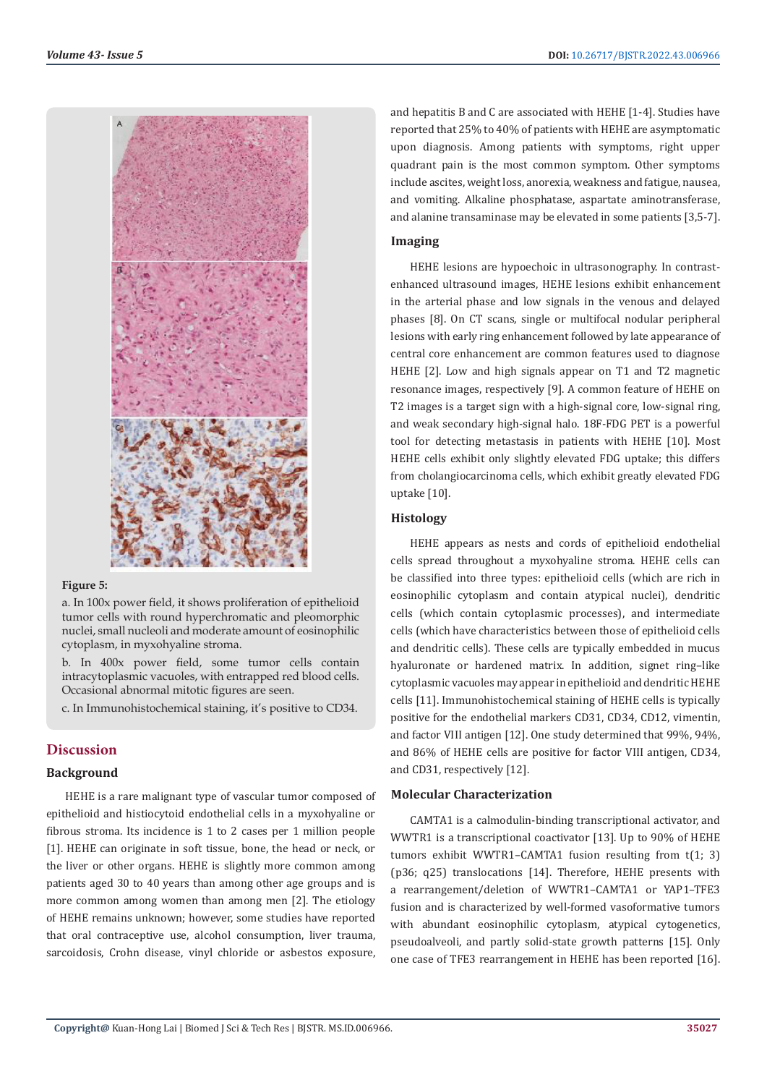

#### **Figure 5:**

a. In 100x power field, it shows proliferation of epithelioid tumor cells with round hyperchromatic and pleomorphic nuclei, small nucleoli and moderate amount of eosinophilic cytoplasm, in myxohyaline stroma.

b. In 400x power field, some tumor cells contain intracytoplasmic vacuoles, with entrapped red blood cells. Occasional abnormal mitotic figures are seen.

c. In Immunohistochemical staining, it's positive to CD34.

## **Discussion**

#### **Background**

HEHE is a rare malignant type of vascular tumor composed of epithelioid and histiocytoid endothelial cells in a myxohyaline or fibrous stroma. Its incidence is 1 to 2 cases per 1 million people [1]. HEHE can originate in soft tissue, bone, the head or neck, or the liver or other organs. HEHE is slightly more common among patients aged 30 to 40 years than among other age groups and is more common among women than among men [2]. The etiology of HEHE remains unknown; however, some studies have reported that oral contraceptive use, alcohol consumption, liver trauma, sarcoidosis, Crohn disease, vinyl chloride or asbestos exposure,

and hepatitis B and C are associated with HEHE [1-4]. Studies have reported that 25% to 40% of patients with HEHE are asymptomatic upon diagnosis. Among patients with symptoms, right upper quadrant pain is the most common symptom. Other symptoms include ascites, weight loss, anorexia, weakness and fatigue, nausea, and vomiting. Alkaline phosphatase, aspartate aminotransferase, and alanine transaminase may be elevated in some patients [3,5-7].

### **Imaging**

HEHE lesions are hypoechoic in ultrasonography. In contrastenhanced ultrasound images, HEHE lesions exhibit enhancement in the arterial phase and low signals in the venous and delayed phases [8]. On CT scans, single or multifocal nodular peripheral lesions with early ring enhancement followed by late appearance of central core enhancement are common features used to diagnose HEHE [2]. Low and high signals appear on T1 and T2 magnetic resonance images, respectively [9]. A common feature of HEHE on T2 images is a target sign with a high-signal core, low-signal ring, and weak secondary high-signal halo. 18F-FDG PET is a powerful tool for detecting metastasis in patients with HEHE [10]. Most HEHE cells exhibit only slightly elevated FDG uptake; this differs from cholangiocarcinoma cells, which exhibit greatly elevated FDG uptake [10].

## **Histology**

HEHE appears as nests and cords of epithelioid endothelial cells spread throughout a myxohyaline stroma. HEHE cells can be classified into three types: epithelioid cells (which are rich in eosinophilic cytoplasm and contain atypical nuclei), dendritic cells (which contain cytoplasmic processes), and intermediate cells (which have characteristics between those of epithelioid cells and dendritic cells). These cells are typically embedded in mucus hyaluronate or hardened matrix. In addition, signet ring–like cytoplasmic vacuoles may appear in epithelioid and dendritic HEHE cells [11]. Immunohistochemical staining of HEHE cells is typically positive for the endothelial markers CD31, CD34, CD12, vimentin, and factor VIII antigen [12]. One study determined that 99%, 94%, and 86% of HEHE cells are positive for factor VIII antigen, CD34, and CD31, respectively [12].

#### **Molecular Characterization**

CAMTA1 is a calmodulin-binding transcriptional activator, and WWTR1 is a transcriptional coactivator [13]. Up to 90% of HEHE tumors exhibit WWTR1–CAMTA1 fusion resulting from t(1; 3) (p36; q25) translocations [14]. Therefore, HEHE presents with a rearrangement/deletion of WWTR1–CAMTA1 or YAP1–TFE3 fusion and is characterized by well-formed vasoformative tumors with abundant eosinophilic cytoplasm, atypical cytogenetics, pseudoalveoli, and partly solid-state growth patterns [15]. Only one case of TFE3 rearrangement in HEHE has been reported [16].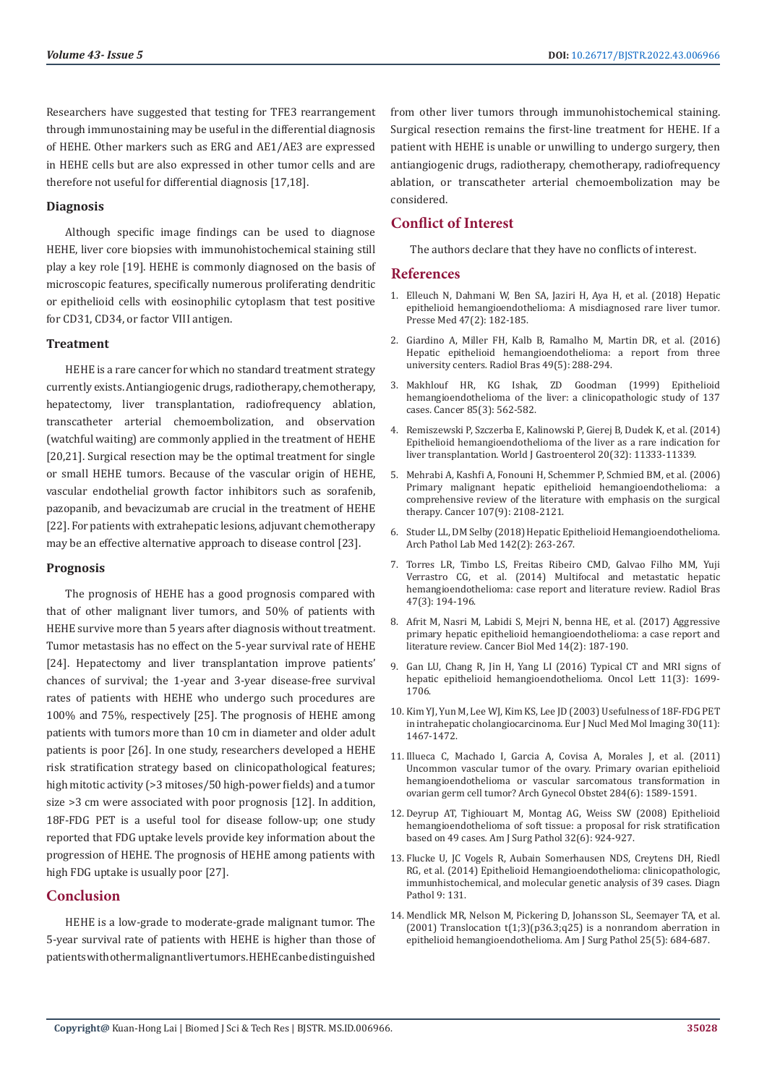Researchers have suggested that testing for TFE3 rearrangement through immunostaining may be useful in the differential diagnosis of HEHE. Other markers such as ERG and AE1/AE3 are expressed in HEHE cells but are also expressed in other tumor cells and are therefore not useful for differential diagnosis [17,18].

#### **Diagnosis**

Although specific image findings can be used to diagnose HEHE, liver core biopsies with immunohistochemical staining still play a key role [19]. HEHE is commonly diagnosed on the basis of microscopic features, specifically numerous proliferating dendritic or epithelioid cells with eosinophilic cytoplasm that test positive for CD31, CD34, or factor VIII antigen.

#### **Treatment**

HEHE is a rare cancer for which no standard treatment strategy currently exists. Antiangiogenic drugs, radiotherapy, chemotherapy, hepatectomy, liver transplantation, radiofrequency ablation, transcatheter arterial chemoembolization, and observation (watchful waiting) are commonly applied in the treatment of HEHE [20,21]. Surgical resection may be the optimal treatment for single or small HEHE tumors. Because of the vascular origin of HEHE, vascular endothelial growth factor inhibitors such as sorafenib, pazopanib, and bevacizumab are crucial in the treatment of HEHE [22]. For patients with extrahepatic lesions, adjuvant chemotherapy may be an effective alternative approach to disease control [23].

#### **Prognosis**

The prognosis of HEHE has a good prognosis compared with that of other malignant liver tumors, and 50% of patients with HEHE survive more than 5 years after diagnosis without treatment. Tumor metastasis has no effect on the 5-year survival rate of HEHE [24]. Hepatectomy and liver transplantation improve patients' chances of survival; the 1-year and 3-year disease-free survival rates of patients with HEHE who undergo such procedures are 100% and 75%, respectively [25]. The prognosis of HEHE among patients with tumors more than 10 cm in diameter and older adult patients is poor [26]. In one study, researchers developed a HEHE risk stratification strategy based on clinicopathological features; high mitotic activity (>3 mitoses/50 high-power fields) and a tumor size >3 cm were associated with poor prognosis [12]. In addition, 18F-FDG PET is a useful tool for disease follow-up; one study reported that FDG uptake levels provide key information about the progression of HEHE. The prognosis of HEHE among patients with high FDG uptake is usually poor [27].

## **Conclusion**

HEHE is a low-grade to moderate-grade malignant tumor. The 5-year survival rate of patients with HEHE is higher than those of patients with other malignant liver tumors. HEHE can be distinguished

from other liver tumors through immunohistochemical staining. Surgical resection remains the first-line treatment for HEHE. If a patient with HEHE is unable or unwilling to undergo surgery, then antiangiogenic drugs, radiotherapy, chemotherapy, radiofrequency ablation, or transcatheter arterial chemoembolization may be considered.

## **Conflict of Interest**

The authors declare that they have no conflicts of interest.

## **References**

- 1. [Elleuch N, Dahmani W, Ben SA, Jaziri H, Aya H, et al. \(2018\) Hepatic](https://pubmed.ncbi.nlm.nih.gov/29373279/) [epithelioid hemangioendothelioma: A misdiagnosed rare liver tumor](https://pubmed.ncbi.nlm.nih.gov/29373279/)*.* [Presse Med 47\(2\): 182-185.](https://pubmed.ncbi.nlm.nih.gov/29373279/)
- 2. [Giardino A, Miller FH, Kalb B, Ramalho M, Martin DR, et al. \(2016\)](https://www.ncbi.nlm.nih.gov/pmc/articles/PMC5094816/) [Hepatic epithelioid hemangioendothelioma: a report from three](https://www.ncbi.nlm.nih.gov/pmc/articles/PMC5094816/) university centers*.* [Radiol Bras 49\(5\): 288-294.](https://www.ncbi.nlm.nih.gov/pmc/articles/PMC5094816/)
- 3. [Makhlouf HR, KG Ishak, ZD Goodman \(1999\)](https://pubmed.ncbi.nlm.nih.gov/10091730/) Epithelioid [hemangioendothelioma of the liver: a clinicopathologic study of 137](https://pubmed.ncbi.nlm.nih.gov/10091730/) cases*.* [Cancer 85\(3\): 562-582.](https://pubmed.ncbi.nlm.nih.gov/10091730/)
- 4. [Remiszewski P, Szczerba E, Kalinowski P, Gierej B, Dudek K, et al. \(2014\)](https://pubmed.ncbi.nlm.nih.gov/25170219/) [Epithelioid hemangioendothelioma of the liver as a rare indication for](https://pubmed.ncbi.nlm.nih.gov/25170219/) liver transplantation*.* [World J Gastroenterol 20\(32\): 11333-11339.](https://pubmed.ncbi.nlm.nih.gov/25170219/)
- 5. [Mehrabi A, Kashfi A, Fonouni H, Schemmer P, Schmied BM, et al. \(2006\)](https://pubmed.ncbi.nlm.nih.gov/17019735/) [Primary malignant hepatic epithelioid hemangioendothelioma: a](https://pubmed.ncbi.nlm.nih.gov/17019735/) [comprehensive review of the literature with emphasis on the surgical](https://pubmed.ncbi.nlm.nih.gov/17019735/) therapy*.* [Cancer 107\(9\): 2108-2121.](https://pubmed.ncbi.nlm.nih.gov/17019735/)
- 6. [Studer LL, DM Selby \(2018\) Hepatic Epithelioid Hemangioendothelioma](https://pubmed.ncbi.nlm.nih.gov/29372848/)*.* [Arch Pathol Lab Med 142\(2\): 263-267.](https://pubmed.ncbi.nlm.nih.gov/29372848/)
- 7. [Torres LR, Timbo LS, Freitas Ribeiro CMD, Galvao Filho MM, Yuji](https://pubmed.ncbi.nlm.nih.gov/25741080/) [Verrastro CG, et al. \(2014\) Multifocal and metastatic hepatic](https://pubmed.ncbi.nlm.nih.gov/25741080/) [hemangioendothelioma: case report and literature review](https://pubmed.ncbi.nlm.nih.gov/25741080/)*.* Radiol Bras [47\(3\): 194-196.](https://pubmed.ncbi.nlm.nih.gov/25741080/)
- 8. [Afrit M, Nasri M, Labidi S, Mejri N, benna HE, et al. \(2017\) Aggressive](https://pubmed.ncbi.nlm.nih.gov/28607810/) [primary hepatic epithelioid hemangioendothelioma: a case report and](https://pubmed.ncbi.nlm.nih.gov/28607810/) literature review*.* [Cancer Biol Med 14\(2\): 187-190.](https://pubmed.ncbi.nlm.nih.gov/28607810/)
- 9. [Gan LU, Chang R, Jin H, Yang LI \(2016\) Typical CT and MRI signs of](https://pubmed.ncbi.nlm.nih.gov/26998064/) [hepatic epithelioid hemangioendothelioma](https://pubmed.ncbi.nlm.nih.gov/26998064/)*.* Oncol Lett 11(3): 1699- [1706.](https://pubmed.ncbi.nlm.nih.gov/26998064/)
- 10. [Kim YJ, Yun M, Lee WJ, Kim KS, Lee JD \(2003\) Usefulness of 18F-FDG PET](https://pubmed.ncbi.nlm.nih.gov/14579085/) in intrahepatic cholangiocarcinoma*.* [Eur J Nucl Med Mol Imaging 30\(11\):](https://pubmed.ncbi.nlm.nih.gov/14579085/) [1467-1472.](https://pubmed.ncbi.nlm.nih.gov/14579085/)
- 11. [Illueca C, Machado I, Garcia A, Covisa A, Morales J, et al. \(2011\)](https://pubmed.ncbi.nlm.nih.gov/21822906/) [Uncommon vascular tumor of the ovary. Primary ovarian epithelioid](https://pubmed.ncbi.nlm.nih.gov/21822906/) [hemangioendothelioma or vascular sarcomatous transformation in](https://pubmed.ncbi.nlm.nih.gov/21822906/) [ovarian germ cell tumor? Arch Gynecol Obstet 284\(6\): 1589-1591.](https://pubmed.ncbi.nlm.nih.gov/21822906/)
- 12. [Deyrup AT, Tighiouart M, Montag AG, Weiss SW \(2008\) Epithelioid](https://pubmed.ncbi.nlm.nih.gov/18551749/) [hemangioendothelioma of soft tissue: a proposal for risk stratification](https://pubmed.ncbi.nlm.nih.gov/18551749/) based on 49 cases*.* [Am J Surg Pathol 32\(6\): 924-927.](https://pubmed.ncbi.nlm.nih.gov/18551749/)
- 13. [Flucke U, JC Vogels R, Aubain Somerhausen NDS, Creytens DH, Riedl](https://diagnosticpathology.biomedcentral.com/articles/10.1186/1746-1596-9-131) [RG, et al. \(2014\) Epithelioid Hemangioendothelioma: clinicopathologic,](https://diagnosticpathology.biomedcentral.com/articles/10.1186/1746-1596-9-131) [immunhistochemical, and molecular genetic analysis of 39 cases](https://diagnosticpathology.biomedcentral.com/articles/10.1186/1746-1596-9-131)*.* Diagn [Pathol 9: 131.](https://diagnosticpathology.biomedcentral.com/articles/10.1186/1746-1596-9-131)
- 14. [Mendlick MR, Nelson M, Pickering D, Johansson SL, Seemayer TA, et al.](https://pubmed.ncbi.nlm.nih.gov/11342784/) (2001) Translocation  $t(1,3)(p36.3;q25)$  is a nonrandom aberration in [epithelioid hemangioendothelioma](https://pubmed.ncbi.nlm.nih.gov/11342784/)*.* Am J Surg Pathol 25(5): 684-687.